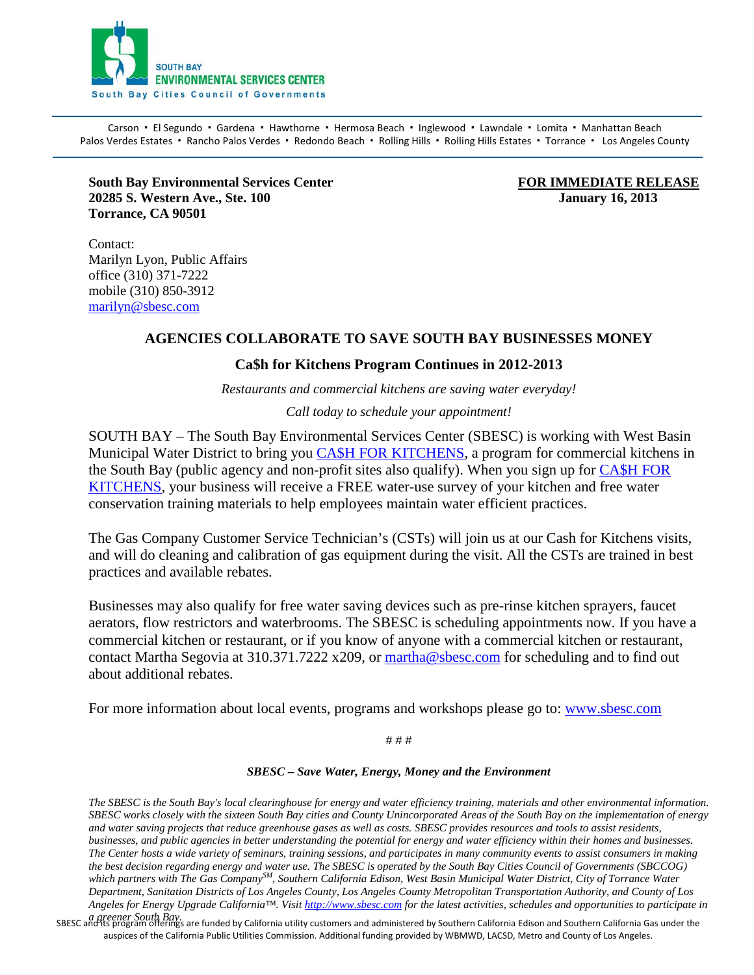

Carson · El Segundo · Gardena · Hawthorne · Hermosa Beach · Inglewood · Lawndale · Lomita · Manhattan Beach Palos Verdes Estates · Rancho Palos Verdes · Redondo Beach · Rolling Hills · Rolling Hills Estates · Torrance · Los Angeles County

**South Bay Environmental Services Center FOR IMMEDIATE RELEASE**<br> **FOR IMMEDIATE RELEASE**<br> **FOR IMMEDIATE RELEASE**<br> **FOR IMMEDIATE RELEASE 20285 S. Western Ave., Ste. 100 Torrance, CA 90501** 

Contact: Marilyn Lyon, Public Affairs office (310) 371-7222 mobile (310) 850-3912 [marilyn@sbesc.com](mailto:marilyn@sbesc.com)

# **AGENCIES COLLABORATE TO SAVE SOUTH BAY BUSINESSES MONEY**

### **Ca\$h for Kitchens Program Continues in 2012-2013**

*Restaurants and commercial kitchens are saving water everyday!*

#### *Call today to schedule your appointment!*

SOUTH BAY – The South Bay Environmental Services Center (SBESC) is working with West Basin Municipal Water District to bring you [CA\\$H FOR KITCHENS,](http://r20.rs6.net/tn.jsp?llr=e95muybab&et=1104221915677&s=0&e=001wivZPZMRwA1aP9BLNAmEaSROfsi7PUmXSQvYUl5R2_9d1Kf6tn7HSEc9GfQA6lAwd7rywtj_cioRxPXVOpTONXJCZKNogiPH0KCocFHkoZnEHU3ZGtGRdOmHAcqRxqOe8-rjNbHz0ipNkFBwC-Z7U2hsG8vvsda3-XBU37xsvibZdH7Lg16ji_96rOWM1KXVyTYRptqWc3xBuz2hQu2wlmSl5qAwbcMlsZBk5PvArwaZGqZ3USliRMfBo72zwEg0P4R1PfenZo93kHbo8_o6mtd1iOxq1G5D) a program for commercial kitchens in the South Bay (public agency and non-profit sites also qualify). When you sign up for CA\$H FOR KITCHENS, your business will receive a FREE water-use survey of your kitchen and free water conservation training materials to help employees maintain water efficient practices.

The Gas Company Customer Service Technician's (CSTs) will join us at our Cash for Kitchens visits, and will do cleaning and calibration of gas equipment during the visit. All the CSTs are trained in best practices and available rebates.

Businesses may also qualify for free water saving devices such as pre-rinse kitchen sprayers, faucet aerators, flow restrictors and waterbrooms. The SBESC is scheduling appointments now. If you have a commercial kitchen or restaurant, or if you know of anyone with a commercial kitchen or restaurant, contact Martha Segovia at 310.371.7222 x209, or [martha@sbesc.com](mailto:martha@sbesc.com) for scheduling and to find out about additional rebates.

For more information about local events, programs and workshops please go to: www.sbesc.com

# # #

#### *SBESC – Save Water, Energy, Money and the Environment*

*The SBESC is the South Bay's local clearinghouse for energy and water efficiency training, materials and other environmental information. SBESC works closely with the sixteen South Bay cities and County Unincorporated Areas of the South Bay on the implementation of energy and water saving projects that reduce greenhouse gases as well as costs. SBESC provides resources and tools to assist residents, businesses, and public agencies in better understanding the potential for energy and water efficiency within their homes and businesses. The Center hosts a wide variety of seminars, training sessions, and participates in many community events to assist consumers in making the best decision regarding energy and water use. The SBESC is operated by the South Bay Cities Council of Governments (SBCCOG) which partners with The Gas CompanySM, Southern California Edison, West Basin Municipal Water District, City of Torrance Water Department, Sanitation Districts of Los Angeles County, Los Angeles County Metropolitan Transportation Authority, and County of Los Angeles for Energy Upgrade California™. Visi[t http://www.sbesc.com](http://www.sbesc.com/) for the latest activities, schedules and opportunities to participate in* 

a greener South Bay.<br>SBESC and its program offerings are funded by California utility customers and administered by Southern California Edison and Southern California Gas under the auspices of the California Public Utilities Commission. Additional funding provided by WBMWD, LACSD, Metro and County of Los Angeles.